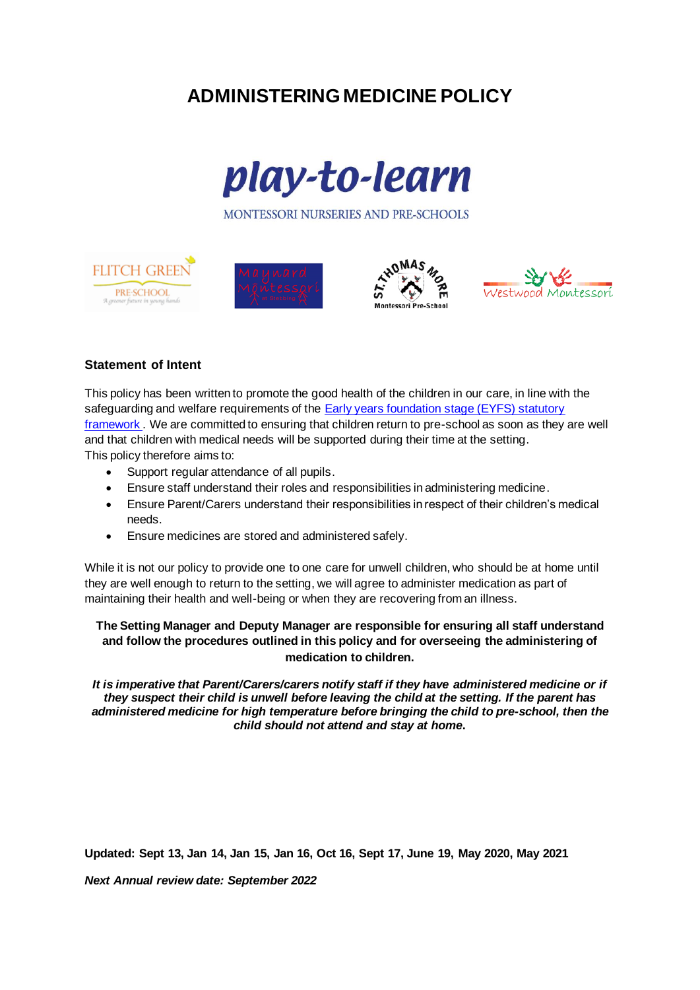# **ADMINISTERING MEDICINE POLICY**



MONTESSORI NURSERIES AND PRE-SCHOOLS









# **Statement of Intent**

This policy has been written to promote the good health of the children in our care, in line with the safeguarding and welfare requirements of the [Early years foundation stage \(EYFS\) statutory](https://www.gov.uk/government/publications/early-years-foundation-stage-framework--2)  [framework .](https://www.gov.uk/government/publications/early-years-foundation-stage-framework--2) We are committed to ensuring that children return to pre-school as soon as they are well and that children with medical needs will be supported during their time at the setting. This policy therefore aims to:

- Support regular attendance of all pupils.
- Ensure staff understand their roles and responsibilities in administering medicine.
- Ensure Parent/Carers understand their responsibilities in respect of their children's medical needs.
- Ensure medicines are stored and administered safely.

While it is not our policy to provide one to one care for unwell children, who should be at home until they are well enough to return to the setting, we will agree to administer medication as part of maintaining their health and well-being or when they are recovering from an illness.

## **The Setting Manager and Deputy Manager are responsible for ensuring all staff understand and follow the procedures outlined in this policy and for overseeing the administering of medication to children.**

*It is imperative that Parent/Carers/carers notify staff if they have administered medicine or if they suspect their child is unwell before leaving the child at the setting. If the parent has administered medicine for high temperature before bringing the child to pre-school, then the child should not attend and stay at home***.**

**Updated: Sept 13, Jan 14, Jan 15, Jan 16, Oct 16, Sept 17, June 19, May 2020, May 2021**

*Next Annual review date: September 2022*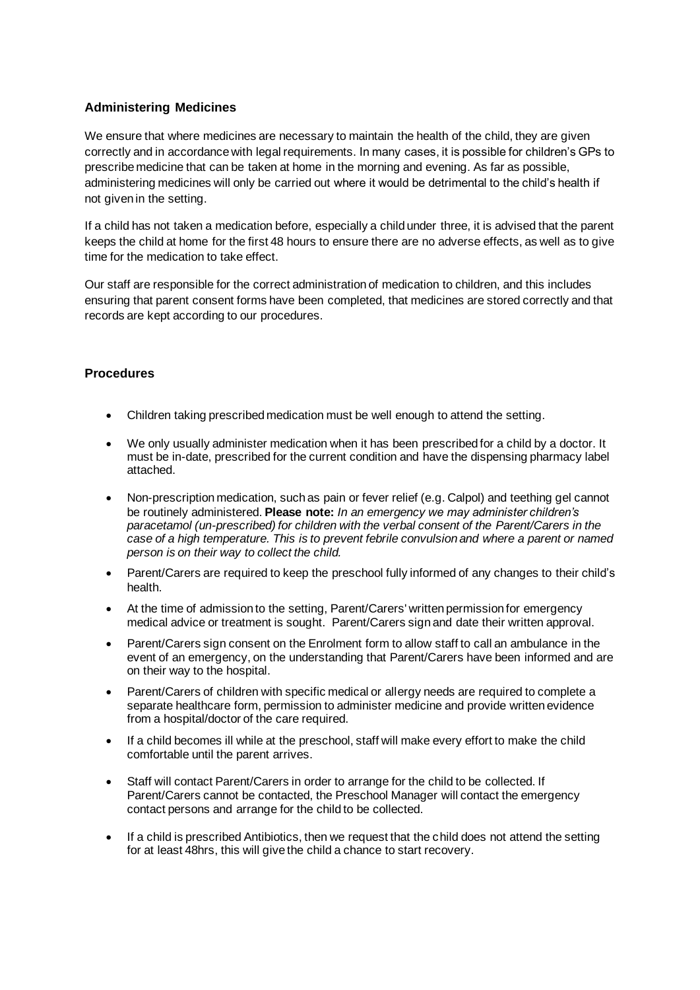# **Administering Medicines**

We ensure that where medicines are necessary to maintain the health of the child, they are given correctly and in accordance with legal requirements. In many cases, it is possible for children's GPs to prescribe medicine that can be taken at home in the morning and evening. As far as possible, administering medicines will only be carried out where it would be detrimental to the child's health if not given in the setting.

If a child has not taken a medication before, especially a child under three, it is advised that the parent keeps the child at home for the first 48 hours to ensure there are no adverse effects, as well as to give time for the medication to take effect.

Our staff are responsible for the correct administration of medication to children, and this includes ensuring that parent consent forms have been completed, that medicines are stored correctly and that records are kept according to our procedures.

# **Procedures**

- Children taking prescribed medication must be well enough to attend the setting.
- We only usually administer medication when it has been prescribed for a child by a doctor. It must be in-date, prescribed for the current condition and have the dispensing pharmacy label attached.
- Non-prescription medication, such as pain or fever relief (e.g. Calpol) and teething gel cannot be routinely administered. **Please note:** *In an emergency we may administer children's paracetamol (un-prescribed) for children with the verbal consent of the Parent/Carers in the case of a high temperature. This is to prevent febrile convulsion and where a parent or named person is on their way to collect the child.*
- Parent/Carers are required to keep the preschool fully informed of any changes to their child's health.
- At the time of admission to the setting, Parent/Carers' written permission for emergency medical advice or treatment is sought. Parent/Carers sign and date their written approval.
- Parent/Carers sign consent on the Enrolment form to allow staff to call an ambulance in the event of an emergency, on the understanding that Parent/Carers have been informed and are on their way to the hospital.
- Parent/Carers of children with specific medical or allergy needs are required to complete a separate healthcare form, permission to administer medicine and provide written evidence from a hospital/doctor of the care required.
- If a child becomes ill while at the preschool, staff will make every effort to make the child comfortable until the parent arrives.
- Staff will contact Parent/Carers in order to arrange for the child to be collected. If Parent/Carers cannot be contacted, the Preschool Manager will contact the emergency contact persons and arrange for the child to be collected.
- If a child is prescribed Antibiotics, then we request that the child does not attend the setting for at least 48hrs, this will give the child a chance to start recovery.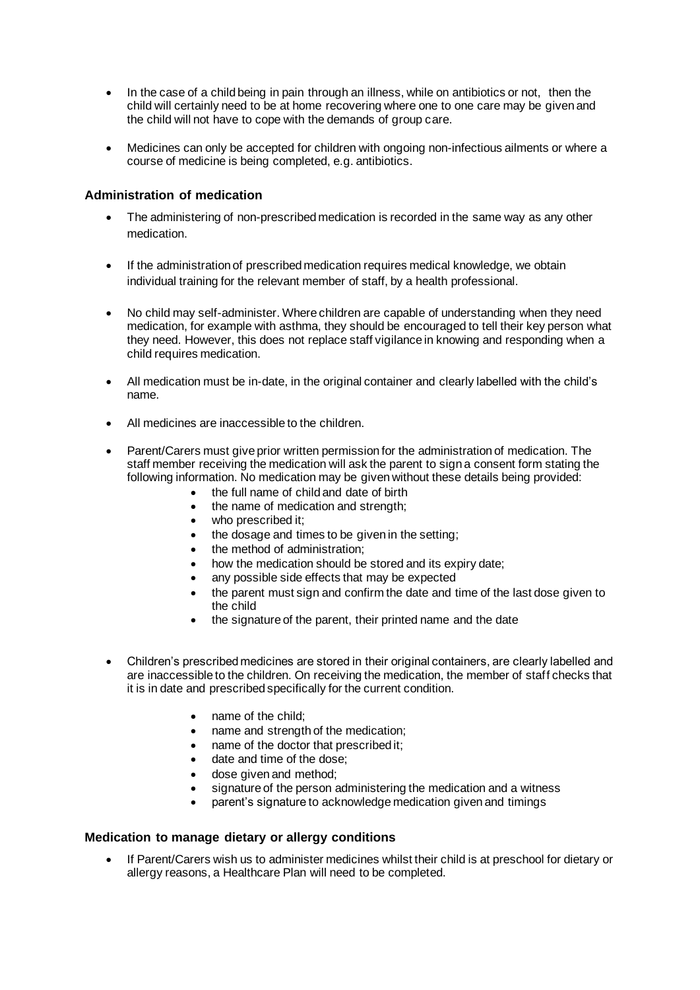- In the case of a child being in pain through an illness, while on antibiotics or not, then the child will certainly need to be at home recovering where one to one care may be given and the child will not have to cope with the demands of group care.
- Medicines can only be accepted for children with ongoing non-infectious ailments or where a course of medicine is being completed, e.g. antibiotics.

## **Administration of medication**

- The administering of non-prescribed medication is recorded in the same way as any other medication.
- If the administration of prescribed medication requires medical knowledge, we obtain individual training for the relevant member of staff, by a health professional.
- No child may self-administer. Where children are capable of understanding when they need medication, for example with asthma, they should be encouraged to tell their key person what they need. However, this does not replace staff vigilance in knowing and responding when a child requires medication.
- All medication must be in-date, in the original container and clearly labelled with the child's name.
- All medicines are inaccessible to the children.
- Parent/Carers must give prior written permission for the administration of medication. The staff member receiving the medication will ask the parent to sign a consent form stating the following information. No medication may be given without these details being provided:
	- the full name of child and date of birth
	- the name of medication and strength;
	- who prescribed it;
	- the dosage and times to be given in the setting;
	- the method of administration:
	- how the medication should be stored and its expiry date;
	- any possible side effects that may be expected
	- the parent must sign and confirm the date and time of the last dose given to the child
	- the signature of the parent, their printed name and the date
- Children's prescribed medicines are stored in their original containers, are clearly labelled and are inaccessible to the children. On receiving the medication, the member of staff checks that it is in date and prescribed specifically for the current condition.
	- name of the child;
	- name and strength of the medication;
	- name of the doctor that prescribed it;
	- date and time of the dose:
	- dose given and method;
	- signature of the person administering the medication and a witness
	- parent's signature to acknowledge medication given and timings

#### **Medication to manage dietary or allergy conditions**

• If Parent/Carers wish us to administer medicines whilst their child is at preschool for dietary or allergy reasons, a Healthcare Plan will need to be completed.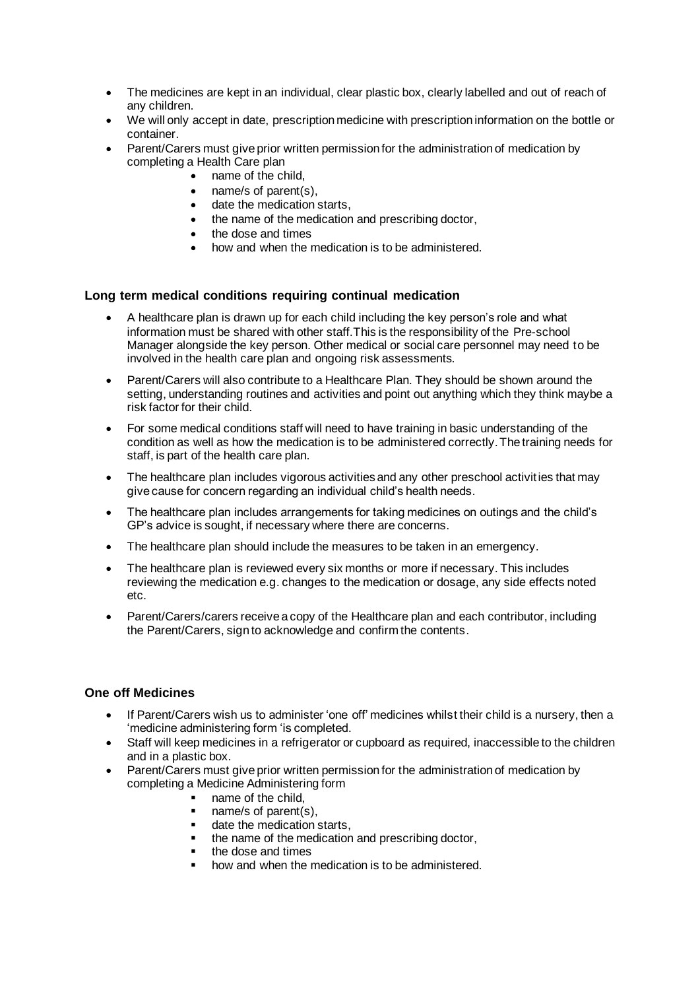- The medicines are kept in an individual, clear plastic box, clearly labelled and out of reach of any children.
- We will only accept in date, prescription medicine with prescription information on the bottle or container.
- Parent/Carers must give prior written permission for the administration of medication by completing a Health Care plan
	- name of the child,
	- name/s of parent(s),
	- date the medication starts.
	- the name of the medication and prescribing doctor,
	- the dose and times
	- how and when the medication is to be administered.

## **Long term medical conditions requiring continual medication**

- A healthcare plan is drawn up for each child including the key person's role and what information must be shared with other staff.This is the responsibility of the Pre-school Manager alongside the key person. Other medical or social care personnel may need to be involved in the health care plan and ongoing risk assessments.
- Parent/Carers will also contribute to a Healthcare Plan. They should be shown around the setting, understanding routines and activities and point out anything which they think maybe a risk factor for their child.
- For some medical conditions staff will need to have training in basic understanding of the condition as well as how the medication is to be administered correctly. The training needs for staff, is part of the health care plan.
- The healthcare plan includes vigorous activities and any other preschool activities that may give cause for concern regarding an individual child's health needs.
- The healthcare plan includes arrangements for taking medicines on outings and the child's GP's advice is sought, if necessary where there are concerns.
- The healthcare plan should include the measures to be taken in an emergency.
- The healthcare plan is reviewed every six months or more if necessary. This includes reviewing the medication e.g. changes to the medication or dosage, any side effects noted etc.
- Parent/Carers/carers receive a copy of the Healthcare plan and each contributor, including the Parent/Carers, sign to acknowledge and confirm the contents.

#### **One off Medicines**

- If Parent/Carers wish us to administer 'one off' medicines whilst their child is a nursery, then a 'medicine administering form 'is completed.
- Staff will keep medicines in a refrigerator or cupboard as required, inaccessible to the children and in a plastic box.
- Parent/Carers must give prior written permission for the administration of medication by completing a Medicine Administering form
	- name of the child,
	- name/s of parent(s),
	- date the medication starts,
	- the name of the medication and prescribing doctor,
	- the dose and times
	- how and when the medication is to be administered.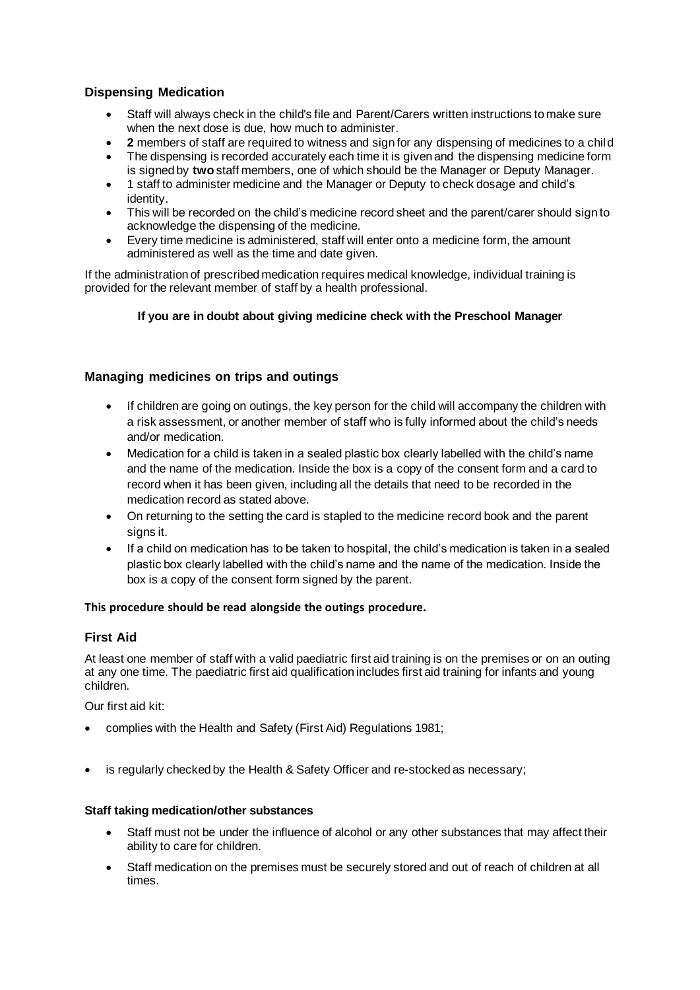# **Dispensing Medication**

- Staff will always check in the child's file and Parent/Carers written instructions to make sure when the next dose is due, how much to administer.
- **2** members of staff are required to witness and sign for any dispensing of medicines to a child
- The dispensing is recorded accurately each time it is given and the dispensing medicine form is signed by **two** staff members, one of which should be the Manager or Deputy Manager.
- 1 staff to administer medicine and the Manager or Deputy to check dosage and child's identity.
- This will be recorded on the child's medicine record sheet and the parent/carer should sign to acknowledge the dispensing of the medicine.
- Every time medicine is administered, staff will enter onto a medicine form, the amount administered as well as the time and date given.

If the administration of prescribed medication requires medical knowledge, individual training is provided for the relevant member of staff by a health professional.

## **If you are in doubt about giving medicine check with the Preschool Manager**

## **Managing medicines on trips and outings**

- If children are going on outings, the key person for the child will accompany the children with a risk assessment, or another member of staff who is fully informed about the child's needs and/or medication.
- Medication for a child is taken in a sealed plastic box clearly labelled with the child's name and the name of the medication. Inside the box is a copy of the consent form and a card to record when it has been given, including all the details that need to be recorded in the medication record as stated above.
- On returning to the setting the card is stapled to the medicine record book and the parent signs it.
- If a child on medication has to be taken to hospital, the child's medication is taken in a sealed plastic box clearly labelled with the child's name and the name of the medication. Inside the box is a copy of the consent form signed by the parent.

#### **This procedure should be read alongside the outings procedure.**

#### **First Aid**

At least one member of staff with a valid paediatric first aid training is on the premises or on an outing at any one time. The paediatric first aid qualification includes first aid training for infants and young children.

Our first aid kit:

- complies with the Health and Safety (First Aid) Regulations 1981;
- is regularly checked by the Health & Safety Officer and re-stocked as necessary;

#### **Staff taking medication/other substances**

- Staff must not be under the influence of alcohol or any other substances that may affect their ability to care for children.
- Staff medication on the premises must be securely stored and out of reach of children at all times.